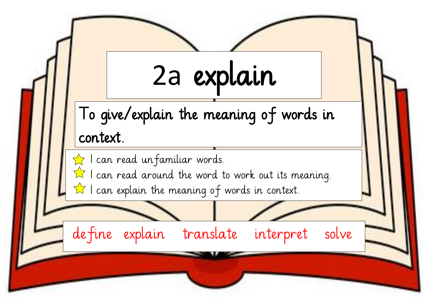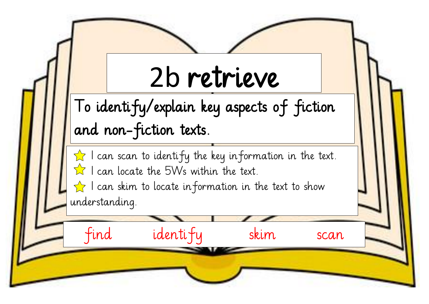## 2b retrieve

To identify/explain key aspects of fiction and non-fiction texts.

 $\hat{\mathbf{X}}$  I can scan to identify the key information in the text.  $\hat{\mathbb{X}}$  I can locate the 5Ws within the text.

find identify skim scan

 $\rightarrow$  I can skim to locate in formation in the text to show understanding.

E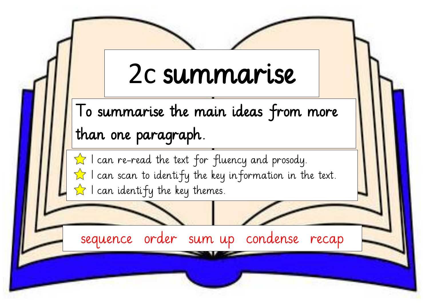## 2c summarise

To summarise the main ideas from more than one paragraph.

 $\hat{\mathbb{R}}$  I can re-read the text for fluency and prosody.  $\hat{\mathbb{Z}}$  I can scan to identify the key information in the text.  $\hat{\mathbb{Z}}$  I can identify the key themes.

sequence order sum up condense recap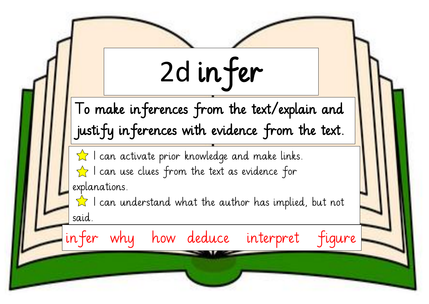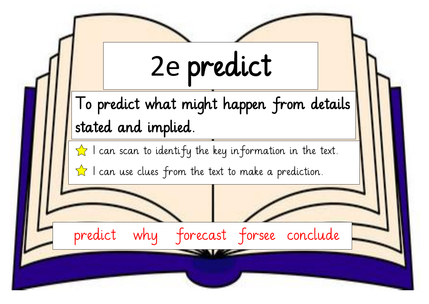|  | 2e predict                                                                   |
|--|------------------------------------------------------------------------------|
|  | To predict what might happen from details                                    |
|  | stated and implied.                                                          |
|  | $\sqrt{\phantom{a}}$ I can scan to identify the key information in the text. |
|  | $\hat{\mathbb{R}}$ I can use clues from the text to make a prediction.       |
|  |                                                                              |
|  | predict<br>why forecast forsee conclude                                      |
|  |                                                                              |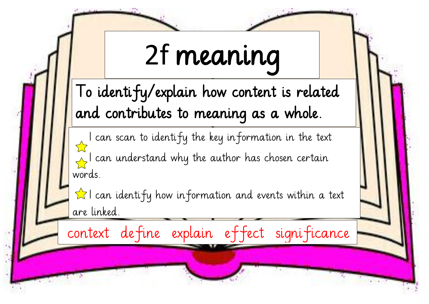## 2f meaning

To identify/explain how content is related and contributes to meaning as a whole.

 I can scan to identify the key information in the text  $\sqrt{ }$ I can understand why the author has chosen certain words.

 $\hat{\mathbf{K}}$  I can identify how information and events within a text are linked.

context define explain effect significance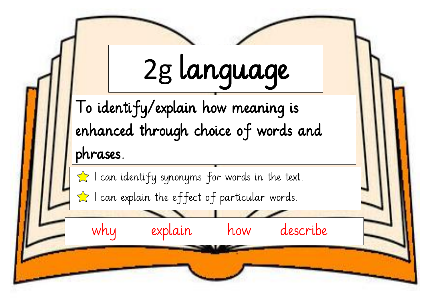2g language To identify/explain how meaning is enhanced through choice of words and phrases.  $\hat{\mathbb{Z}}$  I can identify synonyms for words in the text.  $\hat{\mathbf{X}}$  I can explain the effect of particular words. why explain how describe